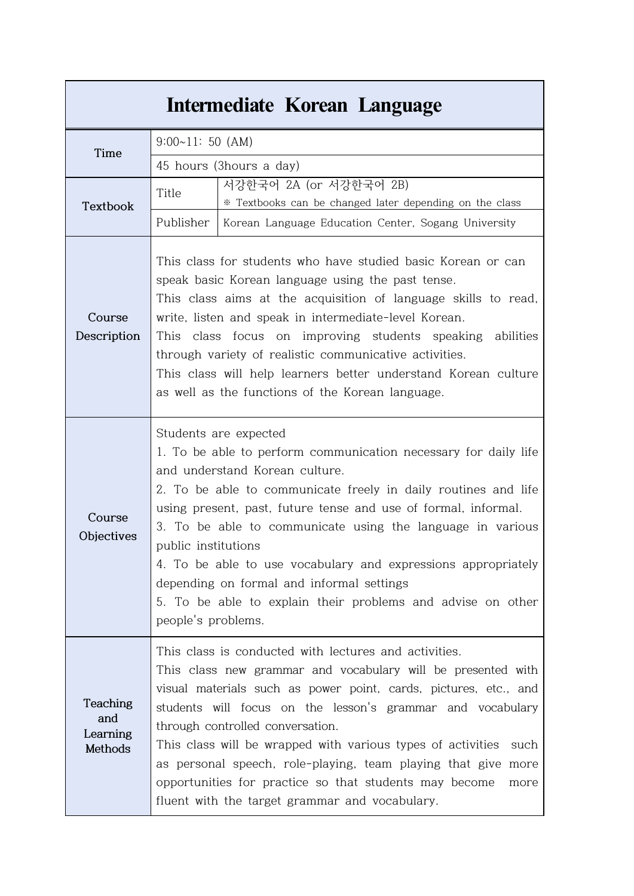| Intermediate Korean Language           |                                                                                                                                                                                                                                                                                                                                                                                                                                                                                                                                                         |                                                                                   |  |  |  |
|----------------------------------------|---------------------------------------------------------------------------------------------------------------------------------------------------------------------------------------------------------------------------------------------------------------------------------------------------------------------------------------------------------------------------------------------------------------------------------------------------------------------------------------------------------------------------------------------------------|-----------------------------------------------------------------------------------|--|--|--|
| Time                                   | $9:00~11:50$ (AM)                                                                                                                                                                                                                                                                                                                                                                                                                                                                                                                                       |                                                                                   |  |  |  |
|                                        | 45 hours (3hours a day)                                                                                                                                                                                                                                                                                                                                                                                                                                                                                                                                 |                                                                                   |  |  |  |
| Textbook                               | Title                                                                                                                                                                                                                                                                                                                                                                                                                                                                                                                                                   | 서강한국어 2A (or 서강한국어 2B)<br>* Textbooks can be changed later depending on the class |  |  |  |
|                                        | Publisher                                                                                                                                                                                                                                                                                                                                                                                                                                                                                                                                               | Korean Language Education Center, Sogang University                               |  |  |  |
| Course<br>Description                  | This class for students who have studied basic Korean or can<br>speak basic Korean language using the past tense.<br>This class aims at the acquisition of language skills to read,<br>write, listen and speak in intermediate-level Korean.<br>This class focus on improving students speaking abilities<br>through variety of realistic communicative activities.<br>This class will help learners better understand Korean culture<br>as well as the functions of the Korean language.                                                               |                                                                                   |  |  |  |
| Course<br>Objectives                   | Students are expected<br>1. To be able to perform communication necessary for daily life<br>and understand Korean culture.<br>2. To be able to communicate freely in daily routines and life<br>using present, past, future tense and use of formal, informal.<br>3. To be able to communicate using the language in various<br>public institutions<br>4. To be able to use vocabulary and expressions appropriately<br>depending on formal and informal settings<br>5. To be able to explain their problems and advise on other<br>people's problems.  |                                                                                   |  |  |  |
| Teaching<br>and<br>Learning<br>Methods | This class is conducted with lectures and activities.<br>This class new grammar and vocabulary will be presented with<br>visual materials such as power point, cards, pictures, etc., and<br>students will focus on the lesson's grammar and vocabulary<br>through controlled conversation.<br>This class will be wrapped with various types of activities<br>such<br>as personal speech, role-playing, team playing that give more<br>opportunities for practice so that students may become<br>more<br>fluent with the target grammar and vocabulary. |                                                                                   |  |  |  |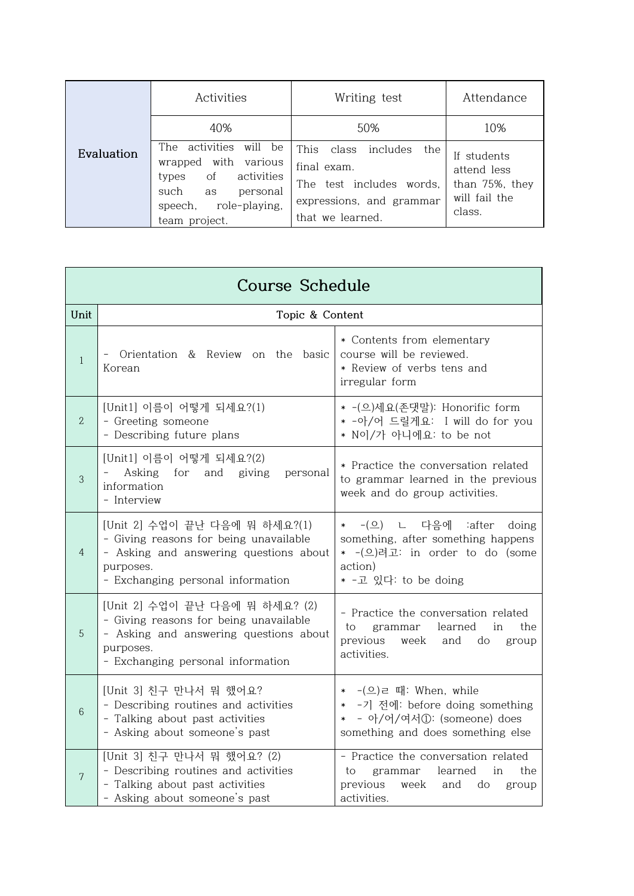|            | Activities                                                                                                                                                       | Writing test                                                                                                                | Attendance                                                              |
|------------|------------------------------------------------------------------------------------------------------------------------------------------------------------------|-----------------------------------------------------------------------------------------------------------------------------|-------------------------------------------------------------------------|
|            | 40%                                                                                                                                                              | 50%                                                                                                                         | 10%                                                                     |
| Evaluation | The activities<br>will be<br>wrapped with various<br><sub>of</sub><br>activities<br>types<br>such<br>personal<br>as<br>role-playing,<br>speech,<br>team project. | This<br>class<br>includes<br>the<br>final exam.<br>The test includes words,<br>expressions, and grammar<br>that we learned. | If students<br>attend less<br>than 75%, they<br>will fail the<br>class. |

| <b>Course Schedule</b> |                                                                                                                                                                      |                                                                                                                                        |  |  |  |
|------------------------|----------------------------------------------------------------------------------------------------------------------------------------------------------------------|----------------------------------------------------------------------------------------------------------------------------------------|--|--|--|
| Unit                   | Topic & Content                                                                                                                                                      |                                                                                                                                        |  |  |  |
| $\mathbf{1}$           | Orientation & Review on the basic<br>Korean                                                                                                                          | * Contents from elementary<br>course will be reviewed.<br>* Review of verbs tens and<br>irregular form                                 |  |  |  |
| $\mathbf{2}$           | [Unit1] 이름이 어떻게 되세요?(1)<br>- Greeting someone<br>- Describing future plans                                                                                           | * -(으)세요(존댓말): Honorific form<br>* -아/어 드릴게요: I will do for you<br>* N이/가 아니에요: to be not                                              |  |  |  |
| 3                      | [Unit1] 이름이 어떻게 되세요?(2)<br>- Asking for and giving<br>personal<br>information<br>- Interview                                                                         | * Practice the conversation related<br>to grammar learned in the previous<br>week and do group activities.                             |  |  |  |
| $\overline{4}$         | [Unit 2] 수업이 끝난 다음에 뭐 하세요?(1)<br>- Giving reasons for being unavailable<br>- Asking and answering questions about<br>purposes.<br>- Exchanging personal information  | * - (으) ㄴ 다음에 :after doing<br>something, after something happens<br>* - (으)려고: in order to do (some<br>action)<br>* -고 있다: to be doing |  |  |  |
| 5                      | [Unit 2] 수업이 끝난 다음에 뭐 하세요? (2)<br>- Giving reasons for being unavailable<br>- Asking and answering questions about<br>purposes.<br>- Exchanging personal information | - Practice the conversation related<br>learned<br>to<br>grammar<br>in<br>the<br>previous week and do<br>group<br>activities.           |  |  |  |
| 6                      | [Unit 3] 친구 만나서 뭐 했어요?<br>- Describing routines and activities<br>- Talking about past activities<br>- Asking about someone's past                                   | * - (으) ㄹ 때: When, while<br>* -기 전에: before doing something<br>* - 아/어/여서①: (someone) does<br>something and does something else        |  |  |  |
| $\overline{7}$         | [Unit 3] 친구 만나서 뭐 했어요? (2)<br>- Describing routines and activities<br>- Talking about past activities<br>- Asking about someone's past                               | - Practice the conversation related<br>to<br>learned<br>in<br>grammar<br>the<br>previous week and do<br>group<br>activities.           |  |  |  |